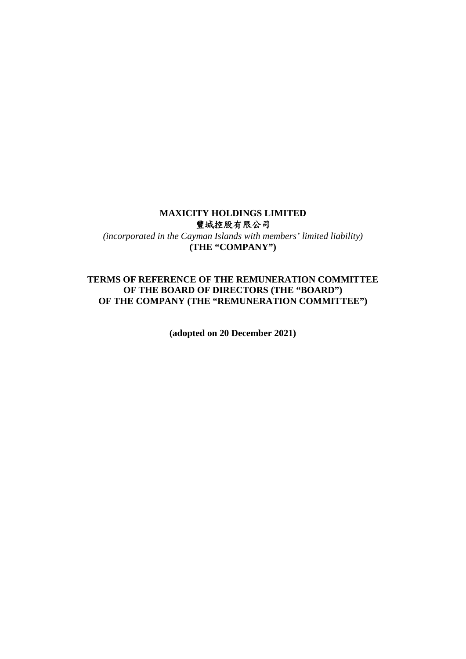# **MAXICITY HOLDINGS LIMITED**  豐城控股有限公司

*(incorporated in the Cayman Islands with members' limited liability)*  **(THE "COMPANY")** 

## **TERMS OF REFERENCE OF THE REMUNERATION COMMITTEE OF THE BOARD OF DIRECTORS (THE "BOARD") OF THE COMPANY (THE "REMUNERATION COMMITTEE")**

**(adopted on 20 December 2021)**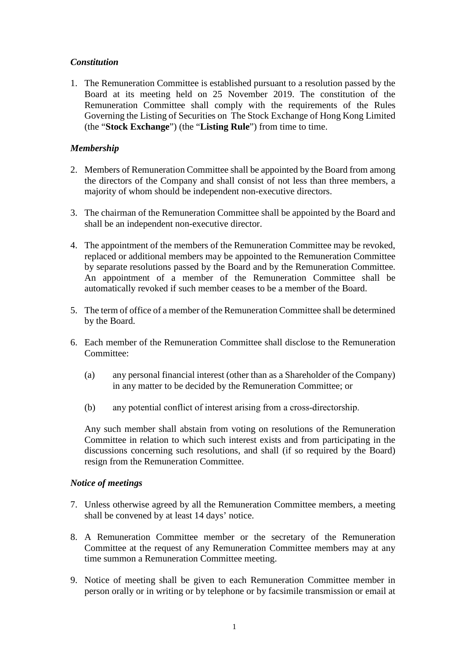# *Constitution*

1. The Remuneration Committee is established pursuant to a resolution passed by the Board at its meeting held on 25 November 2019. The constitution of the Remuneration Committee shall comply with the requirements of the Rules Governing the Listing of Securities on The Stock Exchange of Hong Kong Limited (the "**Stock Exchange**") (the "**Listing Rule**") from time to time.

## *Membership*

- 2. Members of Remuneration Committee shall be appointed by the Board from among the directors of the Company and shall consist of not less than three members, a majority of whom should be independent non-executive directors.
- 3. The chairman of the Remuneration Committee shall be appointed by the Board and shall be an independent non-executive director.
- 4. The appointment of the members of the Remuneration Committee may be revoked, replaced or additional members may be appointed to the Remuneration Committee by separate resolutions passed by the Board and by the Remuneration Committee. An appointment of a member of the Remuneration Committee shall be automatically revoked if such member ceases to be a member of the Board.
- 5. The term of office of a member of the Remuneration Committee shall be determined by the Board.
- 6. Each member of the Remuneration Committee shall disclose to the Remuneration Committee:
	- (a) any personal financial interest (other than as a Shareholder of the Company) in any matter to be decided by the Remuneration Committee; or
	- (b) any potential conflict of interest arising from a cross-directorship.

Any such member shall abstain from voting on resolutions of the Remuneration Committee in relation to which such interest exists and from participating in the discussions concerning such resolutions, and shall (if so required by the Board) resign from the Remuneration Committee.

### *Notice of meetings*

- 7. Unless otherwise agreed by all the Remuneration Committee members, a meeting shall be convened by at least 14 days' notice.
- 8. A Remuneration Committee member or the secretary of the Remuneration Committee at the request of any Remuneration Committee members may at any time summon a Remuneration Committee meeting.
- 9. Notice of meeting shall be given to each Remuneration Committee member in person orally or in writing or by telephone or by facsimile transmission or email at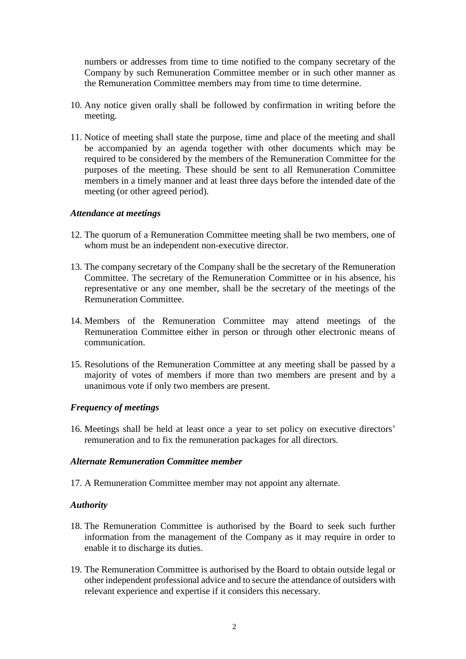numbers or addresses from time to time notified to the company secretary of the Company by such Remuneration Committee member or in such other manner as the Remuneration Committee members may from time to time determine.

- 10. Any notice given orally shall be followed by confirmation in writing before the meeting.
- 11. Notice of meeting shall state the purpose, time and place of the meeting and shall be accompanied by an agenda together with other documents which may be required to be considered by the members of the Remuneration Committee for the purposes of the meeting. These should be sent to all Remuneration Committee members in a timely manner and at least three days before the intended date of the meeting (or other agreed period).

#### *Attendance at meetings*

- 12. The quorum of a Remuneration Committee meeting shall be two members, one of whom must be an independent non-executive director.
- 13. The company secretary of the Company shall be the secretary of the Remuneration Committee. The secretary of the Remuneration Committee or in his absence, his representative or any one member, shall be the secretary of the meetings of the Remuneration Committee.
- 14. Members of the Remuneration Committee may attend meetings of the Remuneration Committee either in person or through other electronic means of communication.
- 15. Resolutions of the Remuneration Committee at any meeting shall be passed by a majority of votes of members if more than two members are present and by a unanimous vote if only two members are present.

### *Frequency of meetings*

16. Meetings shall be held at least once a year to set policy on executive directors' remuneration and to fix the remuneration packages for all directors.

### *Alternate Remuneration Committee member*

17. A Remuneration Committee member may not appoint any alternate.

### *Authority*

- 18. The Remuneration Committee is authorised by the Board to seek such further information from the management of the Company as it may require in order to enable it to discharge its duties.
- 19. The Remuneration Committee is authorised by the Board to obtain outside legal or other independent professional advice and to secure the attendance of outsiders with relevant experience and expertise if it considers this necessary.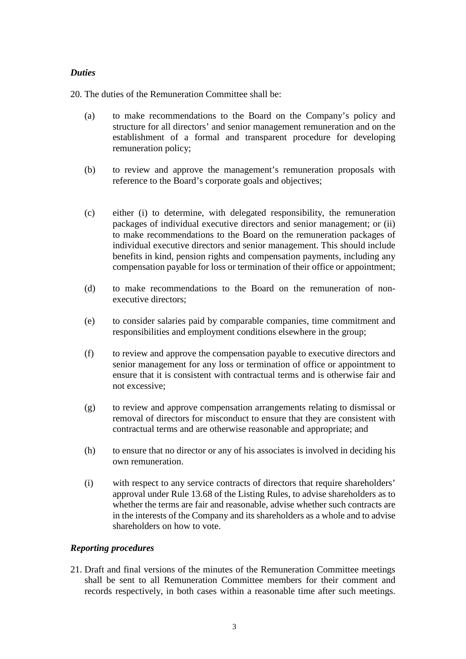## *Duties*

20. The duties of the Remuneration Committee shall be:

- (a) to make recommendations to the Board on the Company's policy and structure for all directors' and senior management remuneration and on the establishment of a formal and transparent procedure for developing remuneration policy;
- (b) to review and approve the management's remuneration proposals with reference to the Board's corporate goals and objectives;
- (c) either (i) to determine, with delegated responsibility, the remuneration packages of individual executive directors and senior management; or (ii) to make recommendations to the Board on the remuneration packages of individual executive directors and senior management. This should include benefits in kind, pension rights and compensation payments, including any compensation payable for loss or termination of their office or appointment;
- (d) to make recommendations to the Board on the remuneration of nonexecutive directors;
- (e) to consider salaries paid by comparable companies, time commitment and responsibilities and employment conditions elsewhere in the group;
- (f) to review and approve the compensation payable to executive directors and senior management for any loss or termination of office or appointment to ensure that it is consistent with contractual terms and is otherwise fair and not excessive;
- (g) to review and approve compensation arrangements relating to dismissal or removal of directors for misconduct to ensure that they are consistent with contractual terms and are otherwise reasonable and appropriate; and
- (h) to ensure that no director or any of his associates is involved in deciding his own remuneration.
- (i) with respect to any service contracts of directors that require shareholders' approval under Rule 13.68 of the Listing Rules, to advise shareholders as to whether the terms are fair and reasonable, advise whether such contracts are in the interests of the Company and its shareholders as a whole and to advise shareholders on how to vote.

# *Reporting procedures*

21. Draft and final versions of the minutes of the Remuneration Committee meetings shall be sent to all Remuneration Committee members for their comment and records respectively, in both cases within a reasonable time after such meetings.